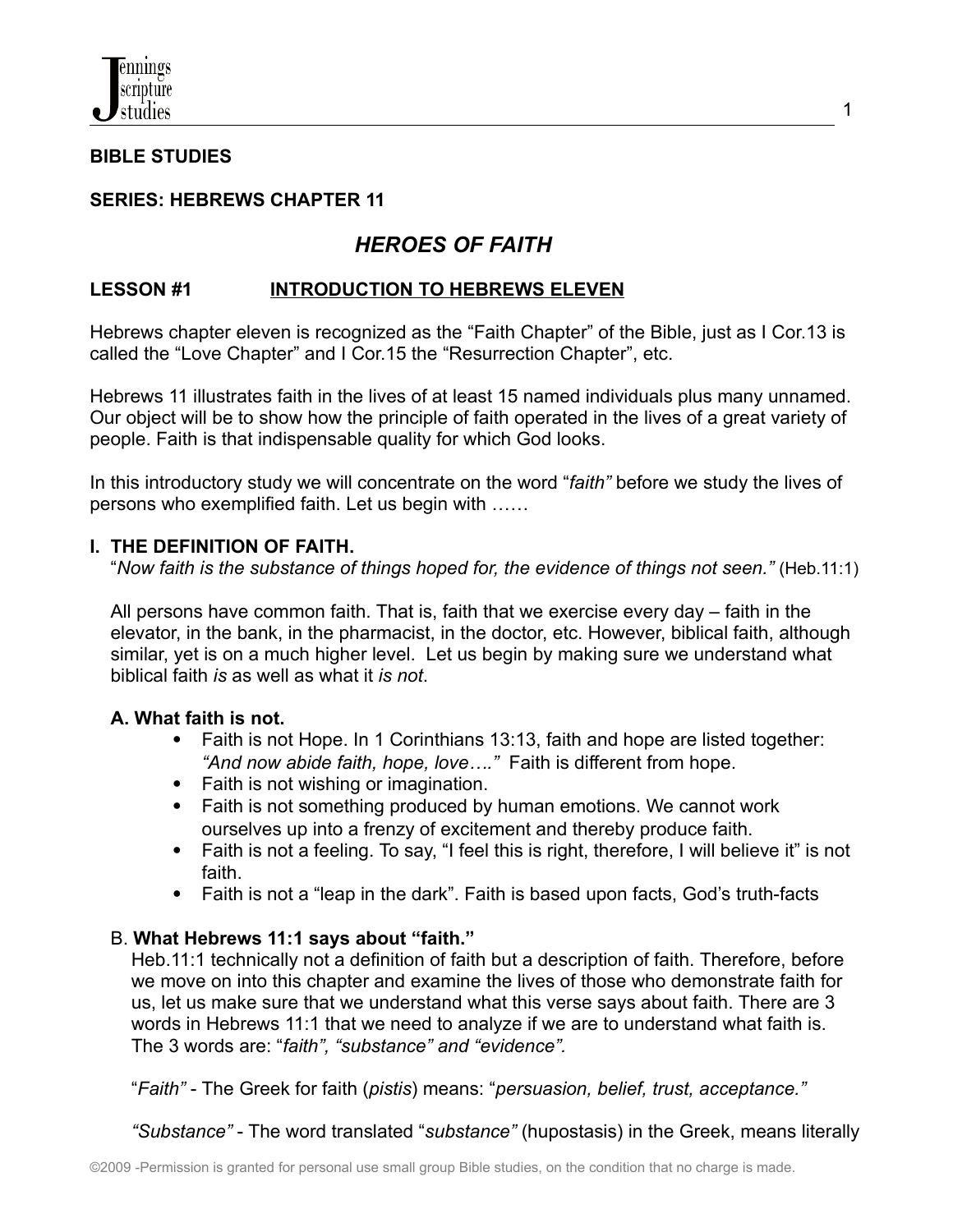

#### **BIBLE STUDIES**

### **SERIES: HEBREWS CHAPTER 11**

# *HEROES OF FAITH*

### **LESSON #1 INTRODUCTION TO HEBREWS ELEVEN**

Hebrews chapter eleven is recognized as the "Faith Chapter" of the Bible, just as I Cor.13 is called the "Love Chapter" and I Cor.15 the "Resurrection Chapter", etc.

Hebrews 11 illustrates faith in the lives of at least 15 named individuals plus many unnamed. Our object will be to show how the principle of faith operated in the lives of a great variety of people. Faith is that indispensable quality for which God looks.

In this introductory study we will concentrate on the word "*faith"* before we study the lives of persons who exemplified faith. Let us begin with ……

#### **I. THE DEFINITION OF FAITH.**

"*Now faith is the substance of things hoped for, the evidence of things not seen."* (Heb.11:1)

All persons have common faith. That is, faith that we exercise every day – faith in the elevator, in the bank, in the pharmacist, in the doctor, etc. However, biblical faith, although similar, yet is on a much higher level. Let us begin by making sure we understand what biblical faith *is* as well as what it *is not*.

#### **A. What faith is not.**

- Faith is not Hope. In 1 Corinthians 13:13, faith and hope are listed together: *"And now abide faith, hope, love…."* Faith is different from hope.
- Faith is not wishing or imagination.
- Faith is not something produced by human emotions. We cannot work ourselves up into a frenzy of excitement and thereby produce faith.
- Faith is not a feeling. To say, "I feel this is right, therefore, I will believe it" is not faith.
- Faith is not a "leap in the dark". Faith is based upon facts, God's truth-facts

#### B. **What Hebrews 11:1 says about "faith."**

Heb.11:1 technically not a definition of faith but a description of faith. Therefore, before we move on into this chapter and examine the lives of those who demonstrate faith for us, let us make sure that we understand what this verse says about faith. There are 3 words in Hebrews 11:1 that we need to analyze if we are to understand what faith is. The 3 words are: "*faith", "substance" and "evidence".*

"*Faith"* - The Greek for faith (*pistis*) means: "*persuasion, belief, trust, acceptance."*

*"Substance"* - The word translated "*substance"* (hupostasis) in the Greek, means literally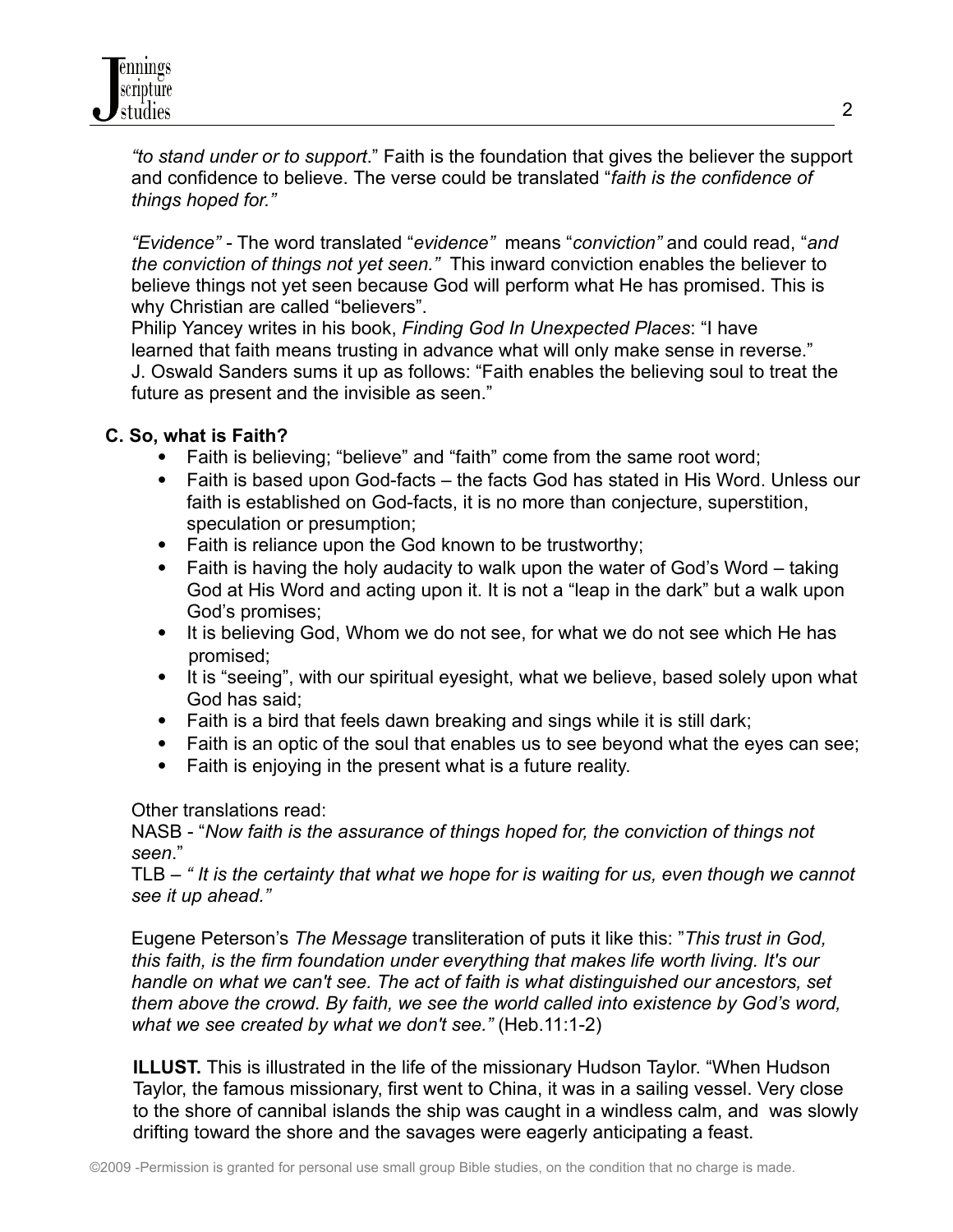*"to stand under or to support*." Faith is the foundation that gives the believer the support and confidence to believe. The verse could be translated "*faith is the confidence of things hoped for."*

*"Evidence" -* The word translated "*evidence"* means "*conviction"* and could read, "*and the conviction of things not yet seen."* This inward conviction enables the believer to believe things not yet seen because God will perform what He has promised. This is why Christian are called "believers".

Philip Yancey writes in his book, *Finding God In Unexpected Places*: "I have learned that faith means trusting in advance what will only make sense in reverse." J. Oswald Sanders sums it up as follows: "Faith enables the believing soul to treat the future as present and the invisible as seen."

# **C. So, what is Faith?**

- Faith is believing; "believe" and "faith" come from the same root word;
- Faith is based upon God-facts the facts God has stated in His Word. Unless our faith is established on God-facts, it is no more than conjecture, superstition, speculation or presumption;
- Faith is reliance upon the God known to be trustworthy;
- Faith is having the holy audacity to walk upon the water of God's Word taking God at His Word and acting upon it. It is not a "leap in the dark" but a walk upon God's promises;
- It is believing God, Whom we do not see, for what we do not see which He has promised;
- It is "seeing", with our spiritual eyesight, what we believe, based solely upon what God has said;
- Faith is a bird that feels dawn breaking and sings while it is still dark;
- Faith is an optic of the soul that enables us to see beyond what the eyes can see;
- Faith is enjoying in the present what is a future reality.

Other translations read:

NASB - "*Now faith is the assurance of things hoped for, the conviction of things not seen*."

TLB – *" It is the certainty that what we hope for is waiting for us, even though we cannot see it up ahead."*

Eugene Peterson's *The Message* transliteration of puts it like this: "*This trust in God, this faith, is the firm foundation under everything that makes life worth living. It's our handle on what we can't see. The act of faith is what distinguished our ancestors, set them above the crowd. By faith, we see the world called into existence by God's word, what we see created by what we don't see."* (Heb.11:1-2)

**ILLUST.** This is illustrated in the life of the missionary Hudson Taylor. "When Hudson Taylor, the famous missionary, first went to China, it was in a sailing vessel. Very close to the shore of cannibal islands the ship was caught in a windless calm, and was slowly drifting toward the shore and the savages were eagerly anticipating a feast.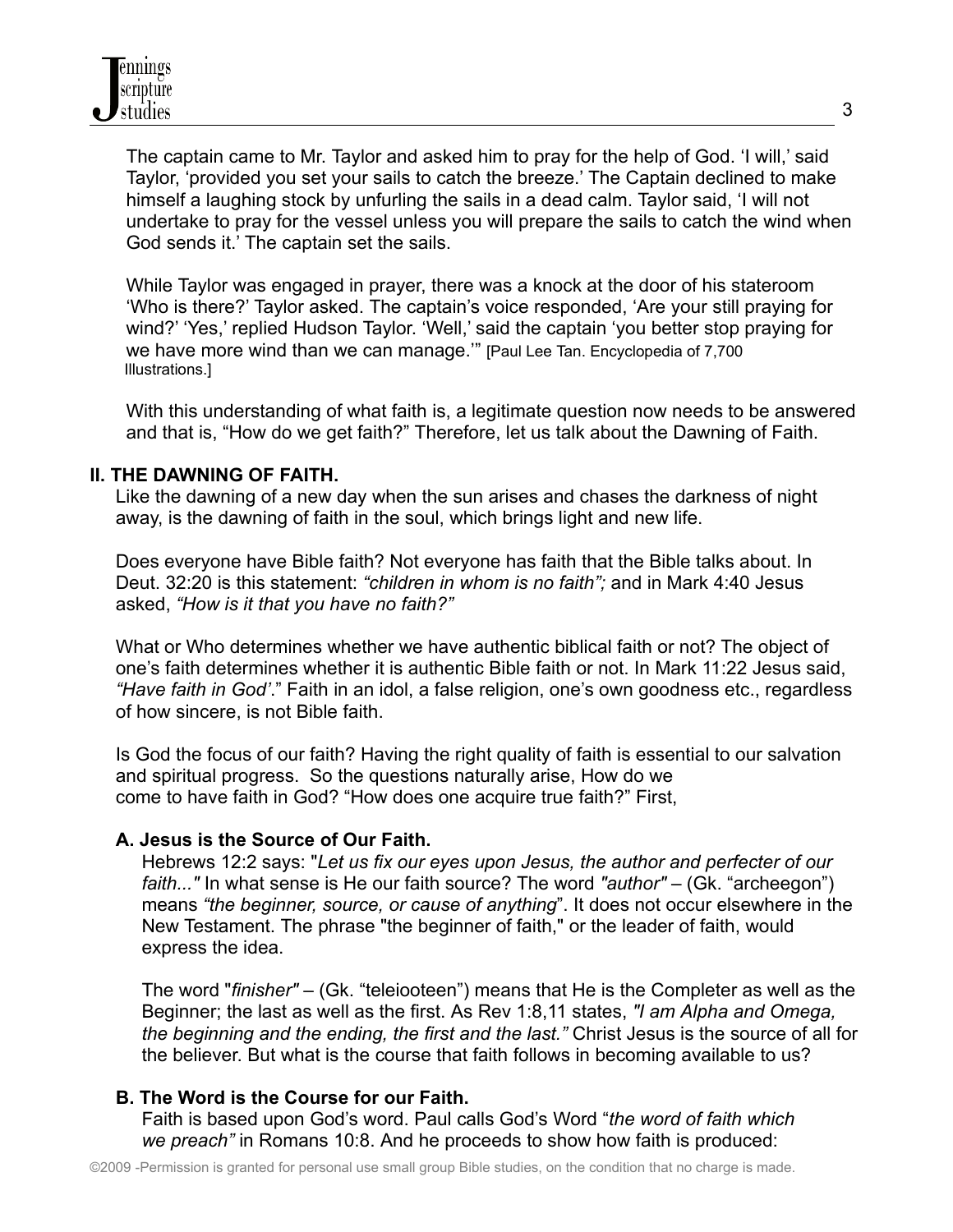The captain came to Mr. Taylor and asked him to pray for the help of God. 'I will,' said Taylor, 'provided you set your sails to catch the breeze.' The Captain declined to make himself a laughing stock by unfurling the sails in a dead calm. Taylor said, 'I will not undertake to pray for the vessel unless you will prepare the sails to catch the wind when God sends it.' The captain set the sails.

While Taylor was engaged in prayer, there was a knock at the door of his stateroom 'Who is there?' Taylor asked. The captain's voice responded, 'Are your still praying for wind?' 'Yes,' replied Hudson Taylor. 'Well,' said the captain 'you better stop praying for we have more wind than we can manage.'" [Paul Lee Tan. Encyclopedia of 7,700 Illustrations.]

With this understanding of what faith is, a legitimate question now needs to be answered and that is, "How do we get faith?" Therefore, let us talk about the Dawning of Faith.

### **II. THE DAWNING OF FAITH.**

Like the dawning of a new day when the sun arises and chases the darkness of night away, is the dawning of faith in the soul, which brings light and new life.

Does everyone have Bible faith? Not everyone has faith that the Bible talks about. In Deut. 32:20 is this statement: *"children in whom is no faith";* and in Mark 4:40 Jesus asked, *"How is it that you have no faith?"*

What or Who determines whether we have authentic biblical faith or not? The object of one's faith determines whether it is authentic Bible faith or not. In Mark 11:22 Jesus said, *"Have faith in God'*." Faith in an idol, a false religion, one's own goodness etc., regardless of how sincere, is not Bible faith.

Is God the focus of our faith? Having the right quality of faith is essential to our salvation and spiritual progress. So the questions naturally arise, How do we come to have faith in God? "How does one acquire true faith?" First,

# **A. Jesus is the Source of Our Faith.**

Hebrews 12:2 says: "*Let us fix our eyes upon Jesus, the author and perfecter of our faith..."* In what sense is He our faith source? The word *"author"* – (Gk. "archeegon") means *"the beginner, source, or cause of anything*". It does not occur elsewhere in the New Testament. The phrase "the beginner of faith," or the leader of faith, would express the idea.

The word "*finisher"* – (Gk. "teleiooteen") means that He is the Completer as well as the Beginner; the last as well as the first. As Rev 1:8,11 states, *"I am Alpha and Omega, the beginning and the ending, the first and the last."* Christ Jesus is the source of all for the believer. But what is the course that faith follows in becoming available to us?

# **B. The Word is the Course for our Faith.**

Faith is based upon God's word. Paul calls God's Word "*the word of faith which we preach"* in Romans 10:8. And he proceeds to show how faith is produced: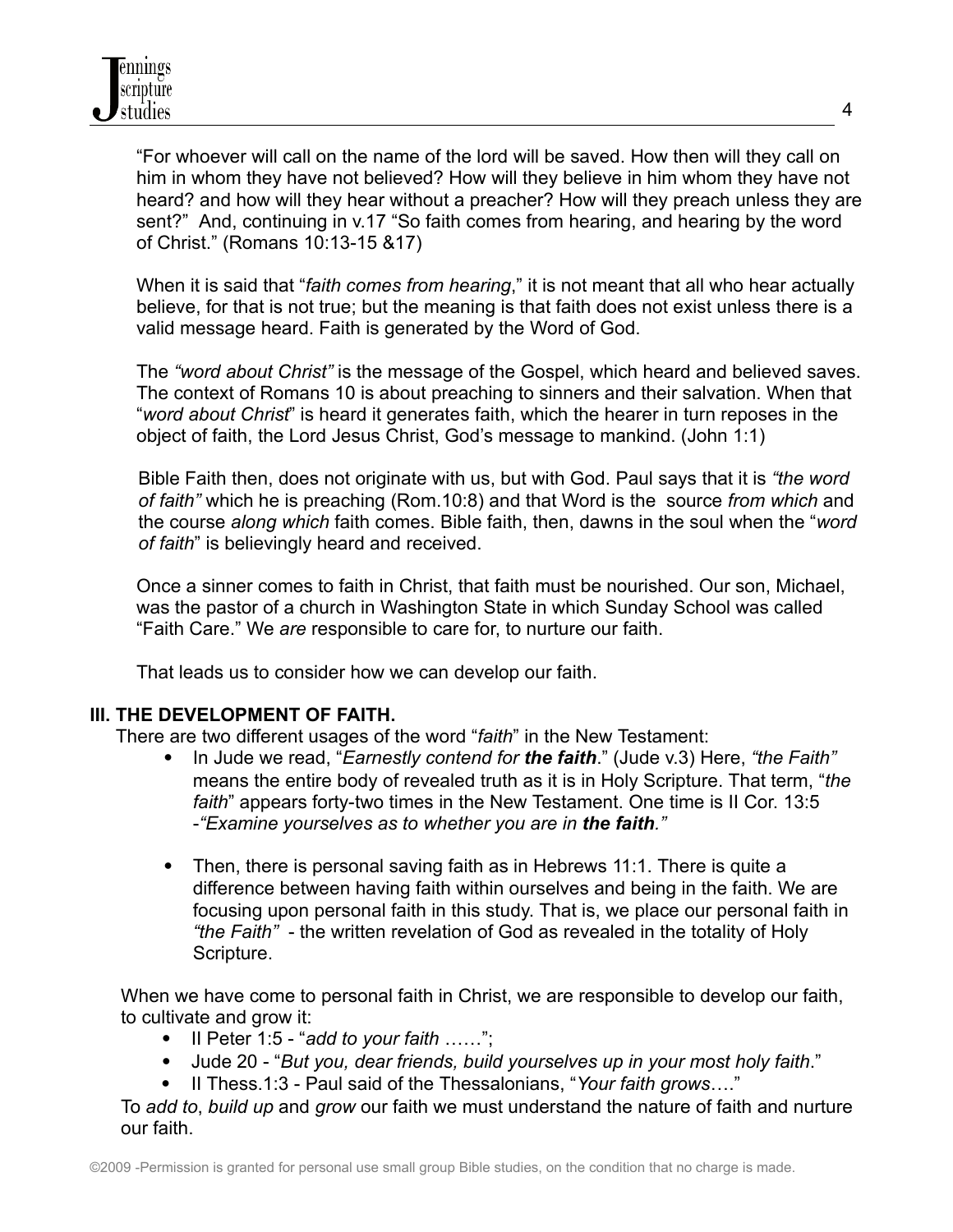"For whoever will call on the name of the lord will be saved. How then will they call on him in whom they have not believed? How will they believe in him whom they have not heard? and how will they hear without a preacher? How will they preach unless they are sent?" And, continuing in v.17 "So faith comes from hearing, and hearing by the word of Christ." (Romans 10:13-15 &17)

When it is said that "*faith comes from hearing*," it is not meant that all who hear actually believe, for that is not true; but the meaning is that faith does not exist unless there is a valid message heard. Faith is generated by the Word of God.

The *"word about Christ"* is the message of the Gospel, which heard and believed saves. The context of Romans 10 is about preaching to sinners and their salvation. When that "*word about Christ*" is heard it generates faith, which the hearer in turn reposes in the object of faith, the Lord Jesus Christ, God's message to mankind. (John 1:1)

Bible Faith then, does not originate with us, but with God. Paul says that it is *"the word of faith"* which he is preaching (Rom.10:8) and that Word is the source *from which* and the course *along which* faith comes. Bible faith, then, dawns in the soul when the "*word of faith*" is believingly heard and received.

Once a sinner comes to faith in Christ, that faith must be nourished. Our son, Michael, was the pastor of a church in Washington State in which Sunday School was called "Faith Care." We *are* responsible to care for, to nurture our faith.

That leads us to consider how we can develop our faith.

# **III. THE DEVELOPMENT OF FAITH.**

There are two different usages of the word "*faith*" in the New Testament:

- In Jude we read, "*Earnestly contend for the faith*." (Jude v.3) Here, *"the Faith"* means the entire body of revealed truth as it is in Holy Scripture. That term, "*the faith*" appears forty-two times in the New Testament. One time is II Cor. 13:5 -*"Examine yourselves as to whether you are in the faith."*
- Then, there is personal saving faith as in Hebrews 11:1. There is quite a difference between having faith within ourselves and being in the faith. We are focusing upon personal faith in this study. That is, we place our personal faith in *"the Faith"* - the written revelation of God as revealed in the totality of Holy Scripture.

When we have come to personal faith in Christ, we are responsible to develop our faith, to cultivate and grow it:

- II Peter 1:5 "*add to your faith* ……";
- Jude 20 "*But you, dear friends, build yourselves up in your most holy faith*."
- II Thess.1:3 Paul said of the Thessalonians, "*Your faith grows*…."

To *add to*, *build up* and *grow* our faith we must understand the nature of faith and nurture our faith.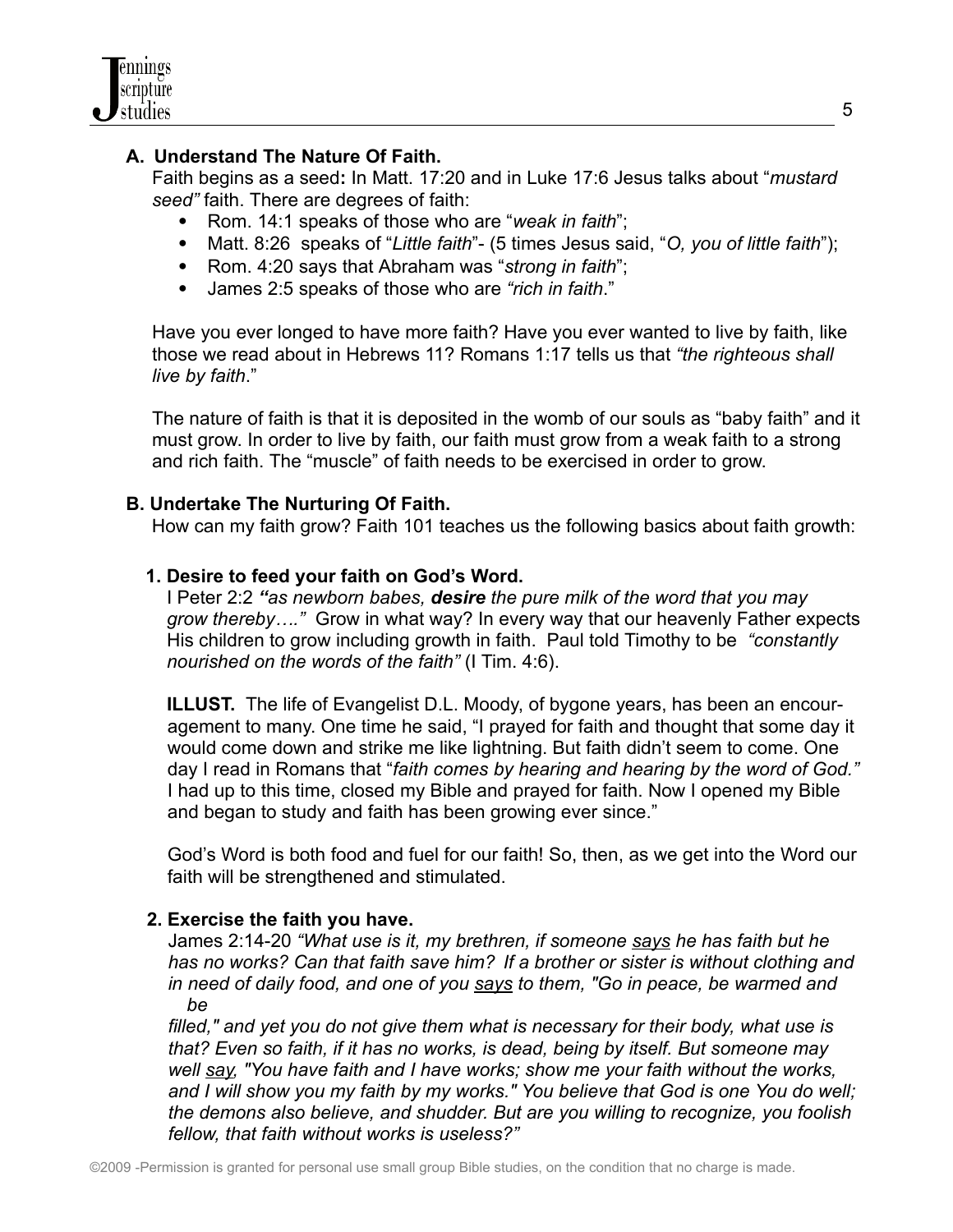# **A. Understand The Nature Of Faith.**

Faith begins as a seed**:** In Matt. 17:20 and in Luke 17:6 Jesus talks about "*mustard seed"* faith. There are degrees of faith:

- Rom. 14:1 speaks of those who are "*weak in faith*";
- Matt. 8:26 speaks of "*Little faith*"- (5 times Jesus said, "*O, you of little faith*");
- Rom. 4:20 says that Abraham was "*strong in faith*";
- James 2:5 speaks of those who are *"rich in faith*."

Have you ever longed to have more faith? Have you ever wanted to live by faith, like those we read about in Hebrews 11? Romans 1:17 tells us that *"the righteous shall live by faith*."

The nature of faith is that it is deposited in the womb of our souls as "baby faith" and it must grow. In order to live by faith, our faith must grow from a weak faith to a strong and rich faith. The "muscle" of faith needs to be exercised in order to grow.

### **B. Undertake The Nurturing Of Faith.**

How can my faith grow? Faith 101 teaches us the following basics about faith growth:

### **1. Desire to feed your faith on God's Word.**

I Peter 2:2 *"as newborn babes, desire the pure milk of the word that you may grow thereby…."* Grow in what way? In every way that our heavenly Father expects His children to grow including growth in faith. Paul told Timothy to be *"constantly nourished on the words of the faith"* (I Tim. 4:6).

**ILLUST.** The life of Evangelist D.L. Moody, of bygone years, has been an encouragement to many. One time he said, "I prayed for faith and thought that some day it would come down and strike me like lightning. But faith didn't seem to come. One day I read in Romans that "*faith comes by hearing and hearing by the word of God."* I had up to this time, closed my Bible and prayed for faith. Now I opened my Bible and began to study and faith has been growing ever since."

God's Word is both food and fuel for our faith! So, then, as we get into the Word our faith will be strengthened and stimulated.

#### **2. Exercise the faith you have.**

James 2:14-20 *"What use is it, my brethren, if someone says he has faith but he has no works? Can that faith save him? If a brother or sister is without clothing and in need of daily food, and one of you says to them, "Go in peace, be warmed and be*

*filled," and yet you do not give them what is necessary for their body, what use is that? Even so faith, if it has no works, is dead, being by itself. But someone may well say, "You have faith and I have works; show me your faith without the works, and I will show you my faith by my works." You believe that God is one You do well; the demons also believe, and shudder. But are you willing to recognize, you foolish fellow, that faith without works is useless?"*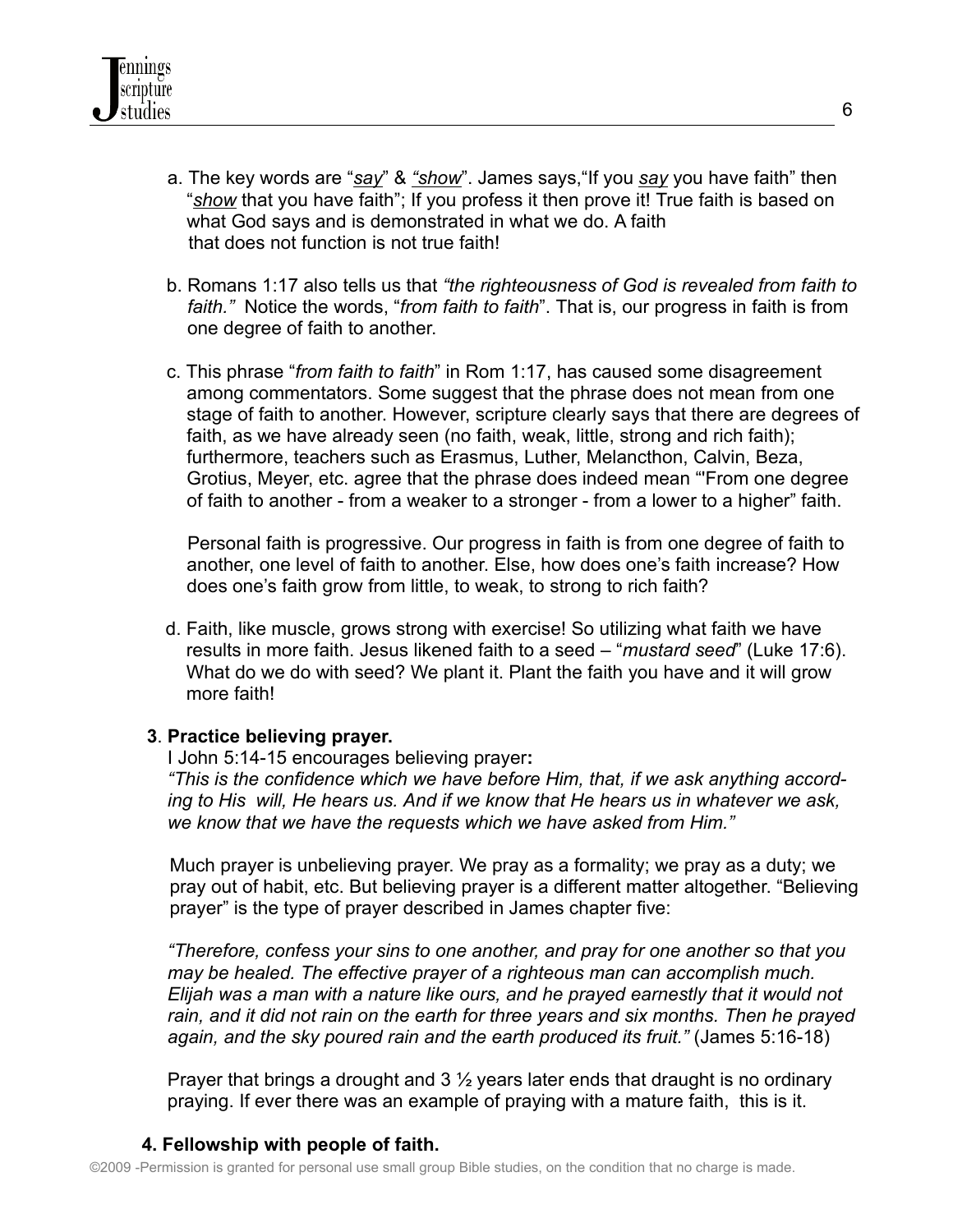- a. The key words are "*say*" & *"show*". James says,"If you *say* you have faith" then "*show* that you have faith"; If you profess it then prove it! True faith is based on what God says and is demonstrated in what we do. A faith that does not function is not true faith!
- b. Romans 1:17 also tells us that *"the righteousness of God is revealed from faith to faith."* Notice the words, "*from faith to faith*". That is, our progress in faith is from one degree of faith to another.
- c. This phrase "*from faith to faith*" in Rom 1:17, has caused some disagreement among commentators. Some suggest that the phrase does not mean from one stage of faith to another. However, scripture clearly says that there are degrees of faith, as we have already seen (no faith, weak, little, strong and rich faith); furthermore, teachers such as Erasmus, Luther, Melancthon, Calvin, Beza, Grotius, Meyer, etc. agree that the phrase does indeed mean "'From one degree of faith to another - from a weaker to a stronger - from a lower to a higher" faith.

Personal faith is progressive. Our progress in faith is from one degree of faith to another, one level of faith to another. Else, how does one's faith increase? How does one's faith grow from little, to weak, to strong to rich faith?

d. Faith, like muscle, grows strong with exercise! So utilizing what faith we have results in more faith. Jesus likened faith to a seed – "*mustard seed*" (Luke 17:6). What do we do with seed? We plant it. Plant the faith you have and it will grow more faith!

#### **3**. **Practice believing prayer.**

I John 5:14-15 encourages believing prayer**:**

*"This is the confidence which we have before Him, that, if we ask anything according to His will, He hears us. And if we know that He hears us in whatever we ask, we know that we have the requests which we have asked from Him."*

Much prayer is unbelieving prayer. We pray as a formality; we pray as a duty; we pray out of habit, etc. But believing prayer is a different matter altogether. "Believing prayer" is the type of prayer described in James chapter five:

*"Therefore, confess your sins to one another, and pray for one another so that you may be healed. The effective prayer of a righteous man can accomplish much. Elijah was a man with a nature like ours, and he prayed earnestly that it would not rain, and it did not rain on the earth for three years and six months. Then he prayed again, and the sky poured rain and the earth produced its fruit."* (James 5:16-18)

Prayer that brings a drought and 3 ½ years later ends that draught is no ordinary praying. If ever there was an example of praying with a mature faith, this is it.

# **4. Fellowship with people of faith.**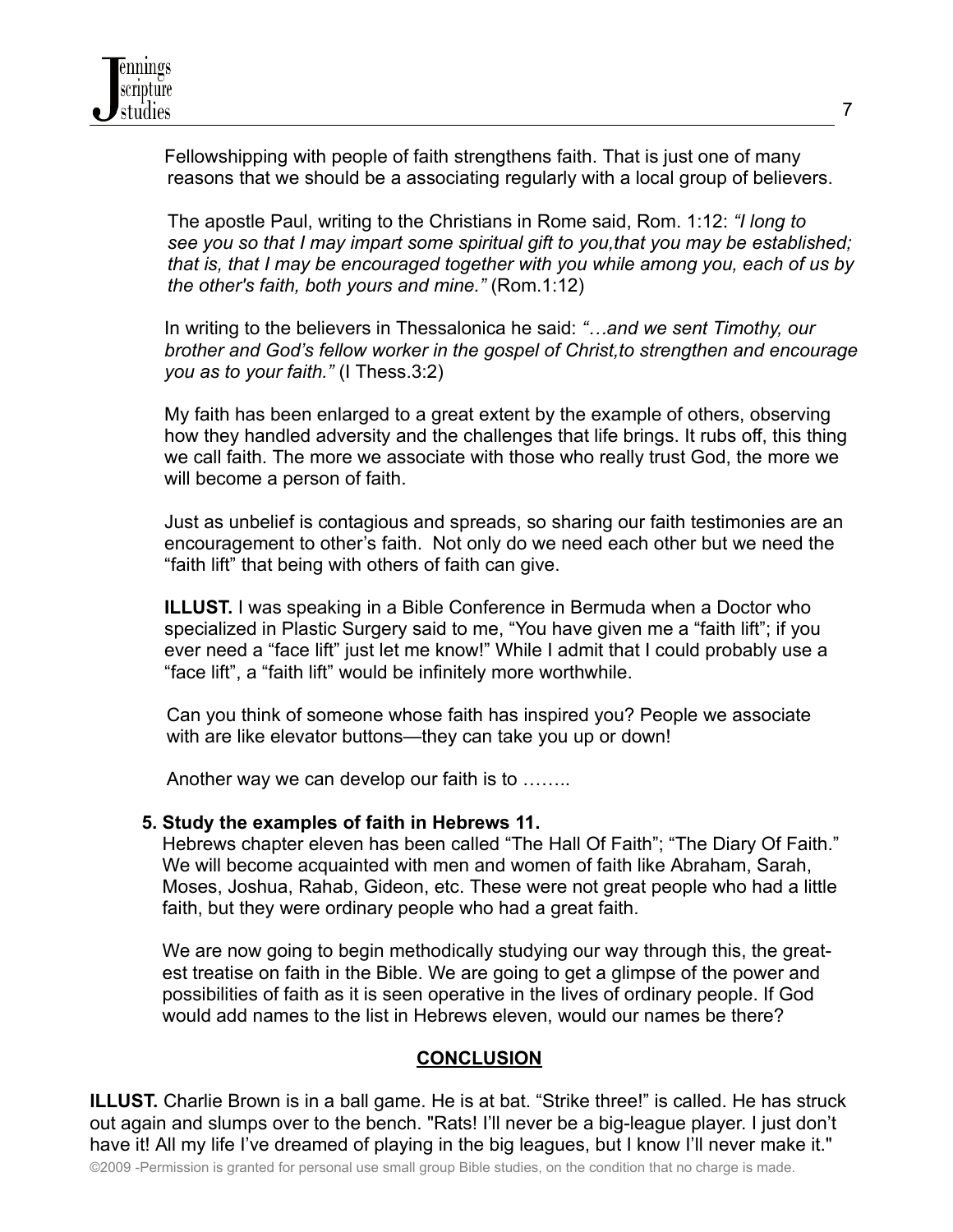Fellowshipping with people of faith strengthens faith. That is just one of many reasons that we should be a associating regularly with a local group of believers.

The apostle Paul, writing to the Christians in Rome said, Rom. 1:12: *"I long to see you so that I may impart some spiritual gift to you,that you may be established; that is, that I may be encouraged together with you while among you, each of us by the other's faith, both yours and mine."* (Rom.1:12)

In writing to the believers in Thessalonica he said: *"…and we sent Timothy, our brother and God's fellow worker in the gospel of Christ,to strengthen and encourage you as to your faith."* (I Thess.3:2)

My faith has been enlarged to a great extent by the example of others, observing how they handled adversity and the challenges that life brings. It rubs off, this thing we call faith. The more we associate with those who really trust God, the more we will become a person of faith.

Just as unbelief is contagious and spreads, so sharing our faith testimonies are an encouragement to other's faith. Not only do we need each other but we need the "faith lift" that being with others of faith can give.

**ILLUST.** I was speaking in a Bible Conference in Bermuda when a Doctor who specialized in Plastic Surgery said to me, "You have given me a "faith lift"; if you ever need a "face lift" just let me know!" While I admit that I could probably use a "face lift", a "faith lift" would be infinitely more worthwhile.

Can you think of someone whose faith has inspired you? People we associate with are like elevator buttons—they can take you up or down!

Another way we can develop our faith is to ……..

#### **5. Study the examples of faith in Hebrews 11.**

Hebrews chapter eleven has been called "The Hall Of Faith"; "The Diary Of Faith." We will become acquainted with men and women of faith like Abraham, Sarah, Moses, Joshua, Rahab, Gideon, etc. These were not great people who had a little faith, but they were ordinary people who had a great faith.

We are now going to begin methodically studying our way through this, the greatest treatise on faith in the Bible. We are going to get a glimpse of the power and possibilities of faith as it is seen operative in the lives of ordinary people. If God would add names to the list in Hebrews eleven, would our names be there?

# **CONCLUSION**

**ILLUST.** Charlie Brown is in a ball game. He is at bat. "Strike three!" is called. He has struck out again and slumps over to the bench. "Rats! I'll never be a big-league player. I just don't have it! All my life I've dreamed of playing in the big leagues, but I know I'll never make it."